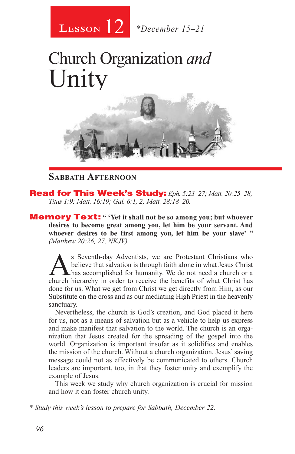

# Church Organization *and* Unity



### **Sabbath Afternoon**

Read for This Week's Study: *Eph. 5:23–27; Matt. 20:25–28; Titus 1:9; Matt. 16:19; Gal. 6:1, 2; Matt. 28:18–20.*

Memory Text: **" 'Yet it shall not be so among you; but whoever desires to become great among you, let him be your servant. And**  whoever desires to be first among you, let him be your slave' " *(Matthew 20:26, 27, NKJV).* 

s Seventh-day Adventists, we are Protestant Christians who believe that salvation is through faith alone in what Jesus Christ **L** has accomplished for humanity. We do not need a church or a church hierarchy in order to receive the benefits of what Christ has done for us. What we get from Christ we get directly from Him, as our Substitute on the cross and as our mediating High Priest in the heavenly sanctuary.

Nevertheless, the church is God's creation, and God placed it here for us, not as a means of salvation but as a vehicle to help us express and make manifest that salvation to the world. The church is an organization that Jesus created for the spreading of the gospel into the world. Organization is important insofar as it solidifies and enables the mission of the church. Without a church organization, Jesus' saving message could not as effectively be communicated to others. Church leaders are important, too, in that they foster unity and exemplify the example of Jesus.

This week we study why church organization is crucial for mission and how it can foster church unity.

*\* Study this week's lesson to prepare for Sabbath, December 22.*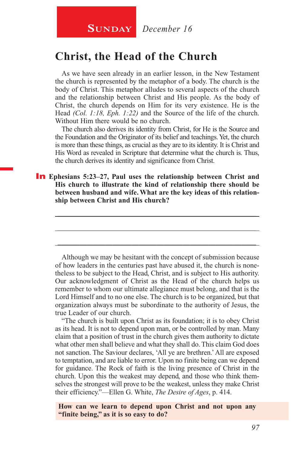## **Christ, the Head of the Church**

As we have seen already in an earlier lesson, in the New Testament the church is represented by the metaphor of a body. The church is the body of Christ. This metaphor alludes to several aspects of the church and the relationship between Christ and His people. As the body of Christ, the church depends on Him for its very existence. He is the Head *(Col. 1:18, Eph. 1:22)* and the Source of the life of the church. Without Him there would be no church.

The church also derives its identity from Christ, for He is the Source and the Foundation and the Originator of its belief and teachings. Yet, the church is more than these things, as crucial as they are to its identity. It is Christ and His Word as revealed in Scripture that determine what the church is. Thus, the church derives its identity and significance from Christ.

#### In **Ephesians 5:23–27, Paul uses the relationship between Christ and His church to illustrate the kind of relationship there should be between husband and wife. What are the key ideas of this relationship between Christ and His church?**

\_\_\_\_\_\_\_\_\_\_\_\_\_\_\_\_\_\_\_\_\_\_\_\_\_\_\_\_\_\_\_\_\_\_\_\_\_\_\_\_\_\_\_\_\_\_\_\_\_\_\_\_\_\_

\_\_\_\_\_\_\_\_\_\_\_\_\_\_\_\_\_\_\_\_\_\_\_\_\_\_\_\_\_\_\_\_\_\_\_\_\_\_\_\_\_\_\_\_\_\_\_\_\_\_\_\_\_\_

\_\_\_\_\_\_\_\_\_\_\_\_\_\_\_\_\_\_\_\_\_\_\_\_\_\_\_\_\_\_\_\_\_\_\_\_\_\_\_\_\_\_\_\_\_\_\_\_\_\_\_\_\_\_

Although we may be hesitant with the concept of submission because of how leaders in the centuries past have abused it, the church is nonetheless to be subject to the Head, Christ, and is subject to His authority. Our acknowledgment of Christ as the Head of the church helps us remember to whom our ultimate allegiance must belong, and that is the Lord Himself and to no one else. The church is to be organized, but that organization always must be subordinate to the authority of Jesus, the true Leader of our church.

"The church is built upon Christ as its foundation; it is to obey Christ as its head. It is not to depend upon man, or be controlled by man. Many claim that a position of trust in the church gives them authority to dictate what other men shall believe and what they shall do. This claim God does not sanction. The Saviour declares, 'All ye are brethren.' All are exposed to temptation, and are liable to error. Upon no finite being can we depend for guidance. The Rock of faith is the living presence of Christ in the church. Upon this the weakest may depend, and those who think themselves the strongest will prove to be the weakest, unless they make Christ their efficiency."—Ellen G. White, *The Desire of Ages*, p. 414.

**How can we learn to depend upon Christ and not upon any "finite being," as it is so easy to do?**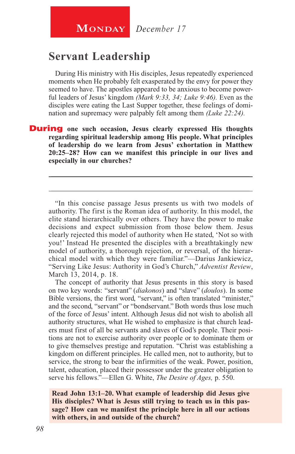**MONDAY** December 17

## **Servant Leadership**

During His ministry with His disciples, Jesus repeatedly experienced moments when He probably felt exasperated by the envy for power they seemed to have. The apostles appeared to be anxious to become powerful leaders of Jesus' kingdom *(Mark 9:33, 34; Luke 9:46).* Even as the disciples were eating the Last Supper together, these feelings of domination and supremacy were palpably felt among them *(Luke 22:24).*

**During** one such occasion, Jesus clearly expressed His thoughts **regarding spiritual leadership among His people. What principles of leadership do we learn from Jesus' exhortation in Matthew 20:25–28? How can we manifest this principle in our lives and especially in our churches?**

"In this concise passage Jesus presents us with two models of authority. The first is the Roman idea of authority. In this model, the elite stand hierarchically over others. They have the power to make decisions and expect submission from those below them. Jesus clearly rejected this model of authority when He stated, 'Not so with you!' Instead He presented the disciples with a breathtakingly new model of authority, a thorough rejection, or reversal, of the hierarchical model with which they were familiar."—Darius Jankiewicz, "Serving Like Jesus: Authority in God's Church," *Adventist Review*, March 13, 2014, p. 18.

\_\_\_\_\_\_\_\_\_\_\_\_\_\_\_\_\_\_\_\_\_\_\_\_\_\_\_\_\_\_\_\_\_\_\_\_\_\_\_\_\_\_\_\_\_\_\_\_\_\_\_\_\_\_

\_\_\_\_\_\_\_\_\_\_\_\_\_\_\_\_\_\_\_\_\_\_\_\_\_\_\_\_\_\_\_\_\_\_\_\_\_\_\_\_\_\_\_\_\_\_\_\_\_\_\_\_\_\_

The concept of authority that Jesus presents in this story is based on two key words: "servant" (*diakonos*) and "slave" (*doulos*). In some Bible versions, the first word, "servant," is often translated "minister." and the second, "servant" or "bondservant." Both words thus lose much of the force of Jesus' intent. Although Jesus did not wish to abolish all authority structures, what He wished to emphasize is that church leaders must first of all be servants and slaves of God's people. Their positions are not to exercise authority over people or to dominate them or to give themselves prestige and reputation. "Christ was establishing a kingdom on different principles. He called men, not to authority, but to service, the strong to bear the infirmities of the weak. Power, position, talent, education, placed their possessor under the greater obligation to serve his fellows."—Ellen G. White, *The Desire of Ages,* p. 550.

**Read John 13:1–20. What example of leadership did Jesus give His disciples? What is Jesus still trying to teach us in this passage? How can we manifest the principle here in all our actions with others, in and outside of the church?**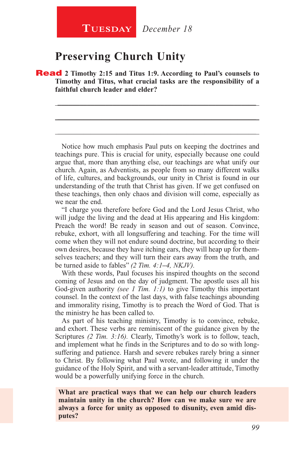## **Preserving Church Unity**

Read **2 Timothy 2:15 and Titus 1:9. According to Paul's counsels to Timothy and Titus, what crucial tasks are the responsibility of a faithful church leader and elder?**

\_\_\_\_\_\_\_\_\_\_\_\_\_\_\_\_\_\_\_\_\_\_\_\_\_\_\_\_\_\_\_\_\_\_\_\_\_\_\_\_\_\_\_\_\_\_\_\_\_\_\_\_\_\_

\_\_\_\_\_\_\_\_\_\_\_\_\_\_\_\_\_\_\_\_\_\_\_\_\_\_\_\_\_\_\_\_\_\_\_\_\_\_\_\_\_\_\_\_\_\_\_\_\_\_\_\_\_\_

\_\_\_\_\_\_\_\_\_\_\_\_\_\_\_\_\_\_\_\_\_\_\_\_\_\_\_\_\_\_\_\_\_\_\_\_\_\_\_\_\_\_\_\_\_\_\_\_\_\_\_\_\_\_

Notice how much emphasis Paul puts on keeping the doctrines and teachings pure. This is crucial for unity, especially because one could argue that, more than anything else, our teachings are what unify our church. Again, as Adventists, as people from so many different walks of life, cultures, and backgrounds, our unity in Christ is found in our understanding of the truth that Christ has given. If we get confused on these teachings, then only chaos and division will come, especially as we near the end.

"I charge you therefore before God and the Lord Jesus Christ, who will judge the living and the dead at His appearing and His kingdom: Preach the word! Be ready in season and out of season. Convince, rebuke, exhort, with all longsuffering and teaching. For the time will come when they will not endure sound doctrine, but according to their own desires, because they have itching ears, they will heap up for themselves teachers; and they will turn their ears away from the truth, and be turned aside to fables" *(2 Tim. 4:1***–***4, NKJV).*

With these words, Paul focuses his inspired thoughts on the second coming of Jesus and on the day of judgment. The apostle uses all his God-given authority *(see 1 Tim. 1:1)* to give Timothy this important counsel. In the context of the last days, with false teachings abounding and immorality rising, Timothy is to preach the Word of God. That is the ministry he has been called to.

As part of his teaching ministry, Timothy is to convince, rebuke, and exhort. These verbs are reminiscent of the guidance given by the Scriptures *(2 Tim. 3:16).* Clearly, Timothy's work is to follow, teach, and implement what he finds in the Scriptures and to do so with longsuffering and patience. Harsh and severe rebukes rarely bring a sinner to Christ. By following what Paul wrote, and following it under the guidance of the Holy Spirit, and with a servant-leader attitude, Timothy would be a powerfully unifying force in the church.

**What are practical ways that we can help our church leaders maintain unity in the church? How can we make sure we are always a force for unity as opposed to disunity, even amid disputes?**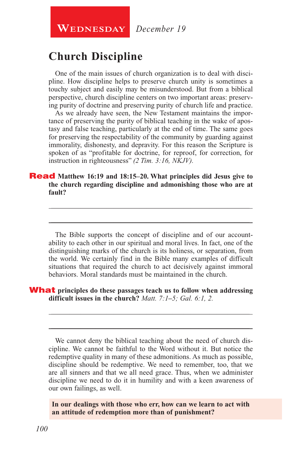**WEDNESDAY** December 19

## **Church Discipline**

One of the main issues of church organization is to deal with discipline. How discipline helps to preserve church unity is sometimes a touchy subject and easily may be misunderstood. But from a biblical perspective, church discipline centers on two important areas: preserving purity of doctrine and preserving purity of church life and practice.

As we already have seen, the New Testament maintains the importance of preserving the purity of biblical teaching in the wake of apostasy and false teaching, particularly at the end of time. The same goes for preserving the respectability of the community by guarding against immorality, dishonesty, and depravity. For this reason the Scripture is spoken of as "profitable for doctrine, for reproof, for correction, for instruction in righteousness" *(2 Tim. 3:16, NKJV).*

#### Read **Matthew 16:19 and 18:15–20. What principles did Jesus give to the church regarding discipline and admonishing those who are at fault?**

The Bible supports the concept of discipline and of our accountability to each other in our spiritual and moral lives. In fact, one of the distinguishing marks of the church is its holiness, or separation, from the world. We certainly find in the Bible many examples of difficult situations that required the church to act decisively against immoral behaviors. Moral standards must be maintained in the church.

\_\_\_\_\_\_\_\_\_\_\_\_\_\_\_\_\_\_\_\_\_\_\_\_\_\_\_\_\_\_\_\_\_\_\_\_\_\_\_\_\_\_\_\_\_\_\_\_\_\_\_\_\_\_

\_\_\_\_\_\_\_\_\_\_\_\_\_\_\_\_\_\_\_\_\_\_\_\_\_\_\_\_\_\_\_\_\_\_\_\_\_\_\_\_\_\_\_\_\_\_\_\_\_\_\_\_\_\_

#### What **principles do these passages teach us to follow when addressing difficult issues in the church?** *Matt. 7:1***–***5; Gal. 6:1, 2.*

We cannot deny the biblical teaching about the need of church discipline. We cannot be faithful to the Word without it. But notice the redemptive quality in many of these admonitions. As much as possible, discipline should be redemptive. We need to remember, too, that we are all sinners and that we all need grace. Thus, when we administer discipline we need to do it in humility and with a keen awareness of our own failings, as well.

\_\_\_\_\_\_\_\_\_\_\_\_\_\_\_\_\_\_\_\_\_\_\_\_\_\_\_\_\_\_\_\_\_\_\_\_\_\_\_\_\_\_\_\_\_\_\_\_\_\_\_\_\_\_

\_\_\_\_\_\_\_\_\_\_\_\_\_\_\_\_\_\_\_\_\_\_\_\_\_\_\_\_\_\_\_\_\_\_\_\_\_\_\_\_\_\_\_\_\_\_\_\_\_\_\_\_\_\_

**In our dealings with those who err, how can we learn to act with an attitude of redemption more than of punishment?**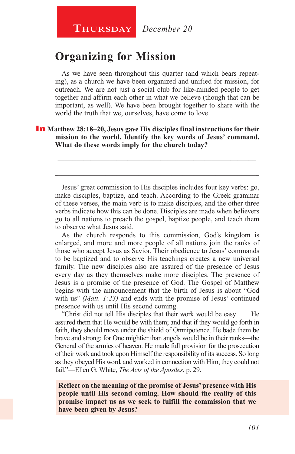## **Organizing for Mission**

As we have seen throughout this quarter (and which bears repeating), as a church we have been organized and unified for mission, for outreach. We are not just a social club for like-minded people to get together and affirm each other in what we believe (though that can be important, as well). We have been brought together to share with the world the truth that we, ourselves, have come to love.

#### In **Matthew 28:18–20, Jesus gave His disciples final instructions for their mission to the world. Identify the key words of Jesus' command. What do these words imply for the church today?**

Jesus' great commission to His disciples includes four key verbs: go, make disciples, baptize, and teach. According to the Greek grammar of these verses, the main verb is to make disciples, and the other three verbs indicate how this can be done. Disciples are made when believers go to all nations to preach the gospel, baptize people, and teach them to observe what Jesus said.

\_\_\_\_\_\_\_\_\_\_\_\_\_\_\_\_\_\_\_\_\_\_\_\_\_\_\_\_\_\_\_\_\_\_\_\_\_\_\_\_\_\_\_\_\_\_\_\_\_\_\_\_\_\_

\_\_\_\_\_\_\_\_\_\_\_\_\_\_\_\_\_\_\_\_\_\_\_\_\_\_\_\_\_\_\_\_\_\_\_\_\_\_\_\_\_\_\_\_\_\_\_\_\_\_\_\_\_\_

As the church responds to this commission, God's kingdom is enlarged, and more and more people of all nations join the ranks of those who accept Jesus as Savior. Their obedience to Jesus' commands to be baptized and to observe His teachings creates a new universal family. The new disciples also are assured of the presence of Jesus every day as they themselves make more disciples. The presence of Jesus is a promise of the presence of God. The Gospel of Matthew begins with the announcement that the birth of Jesus is about "God with us" *(Matt. 1:23)* and ends with the promise of Jesus' continued presence with us until His second coming.

"Christ did not tell His disciples that their work would be easy. . . . He assured them that He would be with them; and that if they would go forth in faith, they should move under the shield of Omnipotence. He bade them be brave and strong; for One mightier than angels would be in their ranks—the General of the armies of heaven. He made full provision for the prosecution of their work and took upon Himself the responsibility of its success. So long as they obeyed His word, and worked in connection with Him, they could not fail."—Ellen G. White, *The Acts of the Apostles*, p. 29.

**Reflect on the meaning of the promise of Jesus' presence with His people until His second coming. How should the reality of this promise impact us as we seek to fulfill the commission that we have been given by Jesus?**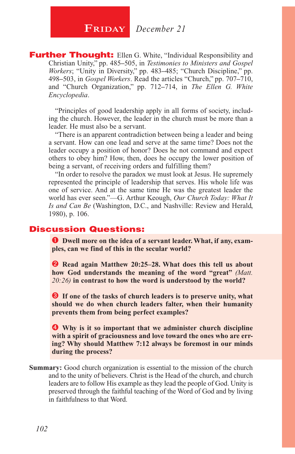**Further Thought:** Ellen G. White, "Individual Responsibility and Christian Unity," pp. 485**–**505, in *Testimonies to Ministers and Gospel Workers*; "Unity in Diversity," pp. 483**–**485; "Church Discipline," pp. 498**–**503, in *Gospel Workers*. Read the articles "Church," pp. 707**–**710, and "Church Organization," pp. 712**–**714, in *The Ellen G. White Encyclopedia*.

"Principles of good leadership apply in all forms of society, including the church. However, the leader in the church must be more than a leader. He must also be a servant.

"There is an apparent contradiction between being a leader and being a servant. How can one lead and serve at the same time? Does not the leader occupy a position of honor? Does he not command and expect others to obey him? How, then, does he occupy the lower position of being a servant, of receiving orders and fulfilling them?

"In order to resolve the paradox we must look at Jesus. He supremely represented the principle of leadership that serves. His whole life was one of service. And at the same time He was the greatest leader the world has ever seen."—G. Arthur Keough, *Our Church Today: What It Is and Can Be* (Washington, D.C., and Nashville: Review and Herald, 1980), p. 106.

#### Discussion Questions:

**O** Dwell more on the idea of a servant leader. What, if any, exam**ples, can we find of this in the secular world?**

**2** Read again Matthew 20:25–28. What does this tell us about **how God understands the meaning of the word "great"** *(Matt. 20:26)* **in contrast to how the word is understood by the world?**

**B** If one of the tasks of church leaders is to preserve unity, what **should we do when church leaders falter, when their humanity prevents them from being perfect examples?**

 **Why is it so important that we administer church discipline with a spirit of graciousness and love toward the ones who are erring? Why should Matthew 7:12 always be foremost in our minds during the process?**

**Summary:** Good church organization is essential to the mission of the church and to the unity of believers. Christ is the Head of the church, and church leaders are to follow His example as they lead the people of God. Unity is preserved through the faithful teaching of the Word of God and by living in faithfulness to that Word.